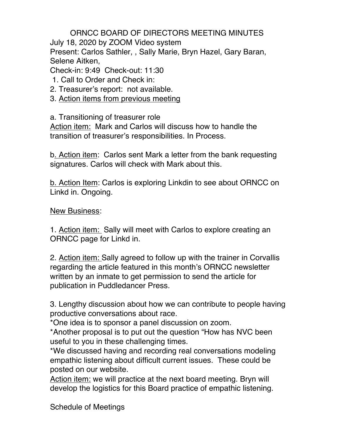ORNCC BOARD OF DIRECTORS MEETING MINUTES July 18, 2020 by ZOOM Video system Present: Carlos Sathler, , Sally Marie, Bryn Hazel, Gary Baran, Selene Aitken,

Check-in: 9:49 Check-out: 11:30

- 1. Call to Order and Check in:
- 2. Treasurer's report: not available.
- 3. Action items from previous meeting

a. Transitioning of treasurer role

Action item: Mark and Carlos will discuss how to handle the transition of treasurer's responsibilities. In Process.

b. Action item: Carlos sent Mark a letter from the bank requesting signatures. Carlos will check with Mark about this.

b. Action Item: Carlos is exploring Linkdin to see about ORNCC on Linkd in. Ongoing.

New Business:

1. Action item: Sally will meet with Carlos to explore creating an ORNCC page for Linkd in.

2. Action item: Sally agreed to follow up with the trainer in Corvallis regarding the article featured in this month's ORNCC newsletter written by an inmate to get permission to send the article for publication in Puddledancer Press.

3. Lengthy discussion about how we can contribute to people having productive conversations about race.

\*One idea is to sponsor a panel discussion on zoom.

\*Another proposal is to put out the question "How has NVC been useful to you in these challenging times.

\*We discussed having and recording real conversations modeling empathic listening about difficult current issues. These could be posted on our website.

Action item: we will practice at the next board meeting. Bryn will develop the logistics for this Board practice of empathic listening.

Schedule of Meetings